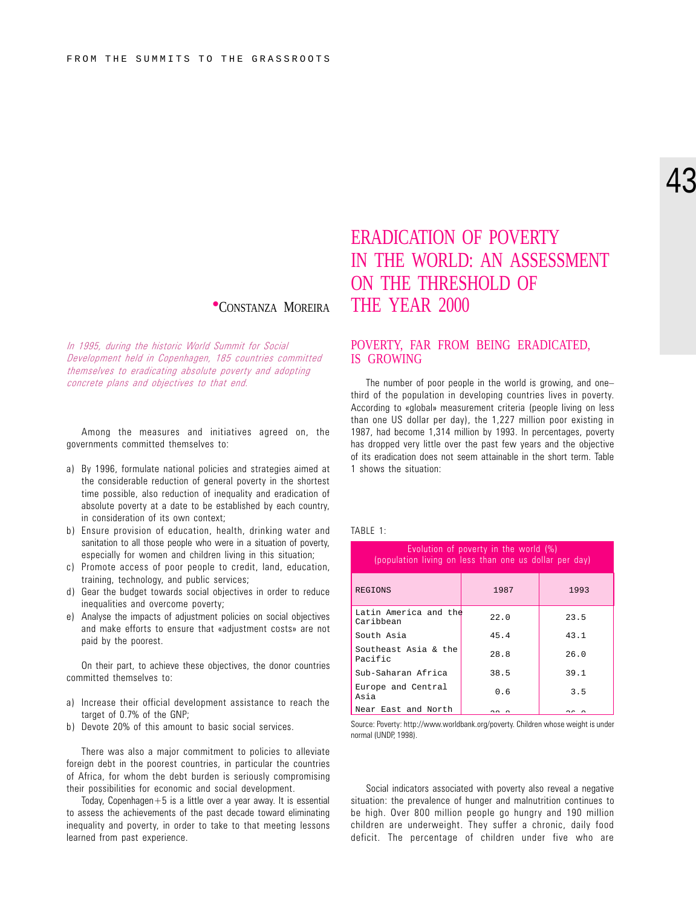In 1995, during the historic World Summit for Social Development held in Copenhagen, 185 countries committed themselves to eradicating absolute poverty and adopting concrete plans and objectives to that end.

Among the measures and initiatives agreed on, the governments committed themselves to:

- a) By 1996, formulate national policies and strategies aimed at the considerable reduction of general poverty in the shortest time possible, also reduction of inequality and eradication of absolute poverty at a date to be established by each country, in consideration of its own context;
- b) Ensure provision of education, health, drinking water and sanitation to all those people who were in a situation of poverty, especially for women and children living in this situation;
- c) Promote access of poor people to credit, land, education, training, technology, and public services;
- d) Gear the budget towards social objectives in order to reduce inequalities and overcome poverty;
- e) Analyse the impacts of adjustment policies on social objectives and make efforts to ensure that «adjustment costs» are not paid by the poorest.

On their part, to achieve these objectives, the donor countries committed themselves to:

- a) Increase their official development assistance to reach the target of 0.7% of the GNP;
- b) Devote 20% of this amount to basic social services.

There was also a major commitment to policies to alleviate foreign debt in the poorest countries, in particular the countries of Africa, for whom the debt burden is seriously compromising their possibilities for economic and social development.

Today, Copenhagen $+5$  is a little over a year away. It is essential to assess the achievements of the past decade toward eliminating inequality and poverty, in order to take to that meeting lessons learned from past experience.

## ERADICATION OF POVERTY IN THE WORLD: AN ASSESSMENT ON THE THRESHOLD OF <sup>l</sup>CONSTANZA MOREIRA THE YEAR 2000

#### POVERTY, FAR FROM BEING ERADICATED, IS GROWING

The number of poor people in the world is growing, and one third of the population in developing countries lives in poverty. According to «global» measurement criteria (people living on less than one US dollar per day), the 1,227 million poor existing in 1987, had become 1,314 million by 1993. In percentages, poverty has dropped very little over the past few years and the objective of its eradication does not seem attainable in the short term. Table 1 shows the situation:

#### TABLE 1:

| Evolution of poverty in the world (%)<br>(population living on less than one us dollar per day) |      |      |  |  |  |  |
|-------------------------------------------------------------------------------------------------|------|------|--|--|--|--|
| REGIONS                                                                                         | 1987 | 1993 |  |  |  |  |
| Latin America and the<br>Caribbean                                                              | 22.0 | 23.5 |  |  |  |  |
| South Asia                                                                                      | 45.4 | 43.1 |  |  |  |  |
| Southeast Asia & the<br>Pacific                                                                 | 28.8 | 26.0 |  |  |  |  |
| Sub-Saharan Africa                                                                              | 38.5 | 39.1 |  |  |  |  |
| Europe and Central<br>Asia                                                                      | 0.6  | 3.5  |  |  |  |  |
| Near East and North                                                                             |      |      |  |  |  |  |

Source: Poverty: http://www.worldbank.org/poverty. Children whose weight is under normal (UNDP, 1998).

Social indicators associated with poverty also reveal a negative situation: the prevalence of hunger and malnutrition continues to be high. Over 800 million people go hungry and 190 million children are underweight. They suffer a chronic, daily food deficit. The percentage of children under five who are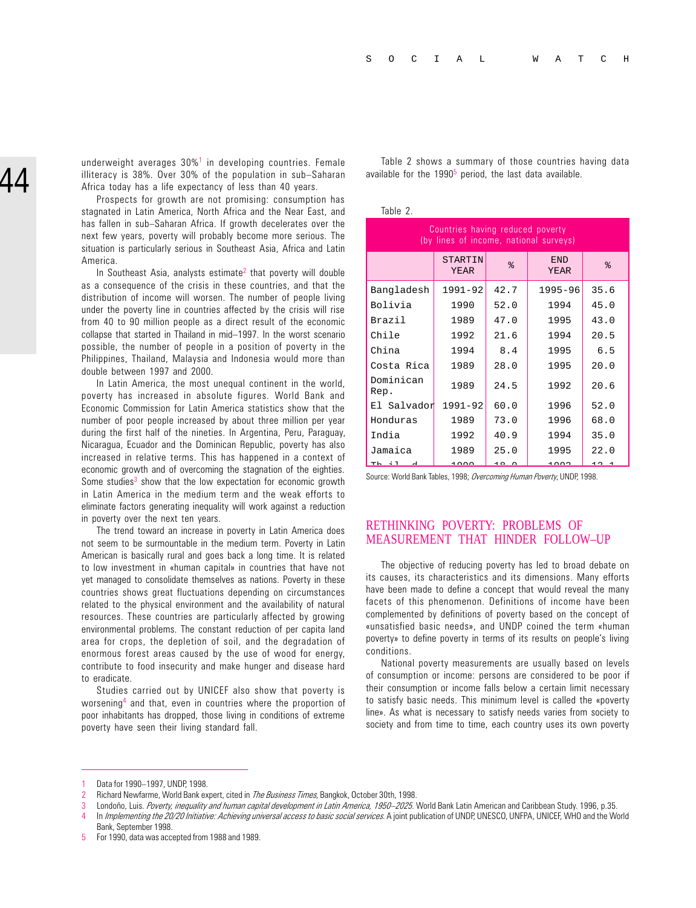underweight averages  $30\%$ <sup>1</sup> in developing countries. Female illiteracy is  $38\%$ . Over  $30\%$  of the population in sub-Saharan Africa today has a life expectancy of less than 40 years.

Prospects for growth are not promising: consumption has stagnated in Latin America, North Africa and the Near East, and has fallen in sub-Saharan Africa. If growth decelerates over the next few years, poverty will probably become more serious. The situation is particularly serious in Southeast Asia, Africa and Latin America.

In Southeast Asia, analysts estimate<sup>2</sup> that poverty will double as a consequence of the crisis in these countries, and that the distribution of income will worsen. The number of people living under the poverty line in countries affected by the crisis will rise from 40 to 90 million people as a direct result of the economic collapse that started in Thailand in mid-1997. In the worst scenario possible, the number of people in a position of poverty in the Philippines, Thailand, Malaysia and Indonesia would more than double between 1997 and 2000.

In Latin America, the most unequal continent in the world, poverty has increased in absolute figures. World Bank and Economic Commission for Latin America statistics show that the number of poor people increased by about three million per year during the first half of the nineties. In Argentina, Peru, Paraguay, Nicaragua, Ecuador and the Dominican Republic, poverty has also increased in relative terms. This has happened in a context of economic growth and of overcoming the stagnation of the eighties. Some studies<sup>3</sup> show that the low expectation for economic growth in Latin America in the medium term and the weak efforts to eliminate factors generating inequality will work against a reduction in poverty over the next ten years.

The trend toward an increase in poverty in Latin America does not seem to be surmountable in the medium term. Poverty in Latin American is basically rural and goes back a long time. It is related to low investment in «human capital» in countries that have not yet managed to consolidate themselves as nations. Poverty in these countries shows great fluctuations depending on circumstances related to the physical environment and the availability of natural resources. These countries are particularly affected by growing environmental problems. The constant reduction of per capita land area for crops, the depletion of soil, and the degradation of enormous forest areas caused by the use of wood for energy, contribute to food insecurity and make hunger and disease hard to eradicate.

Studies carried out by UNICEF also show that poverty is worsening4 and that, even in countries where the proportion of poor inhabitants has dropped, those living in conditions of extreme poverty have seen their living standard fall.

Table 2 shows a summary of those countries having data available for the 1990<sup>5</sup> period, the last data available.

Table 2.

| Countries having reduced poverty<br>(by lines of income, national surveys) |                               |      |                    |      |  |  |  |
|----------------------------------------------------------------------------|-------------------------------|------|--------------------|------|--|--|--|
|                                                                            | <b>STARTIN</b><br><b>YEAR</b> | る    | <b>END</b><br>YEAR | る    |  |  |  |
| Bangladesh                                                                 | 1991-92                       | 42.7 | 1995-96            | 35.6 |  |  |  |
| Bolivia                                                                    | 1990                          | 52.0 | 1994               | 45.0 |  |  |  |
| <b>Brazil</b>                                                              | 1989                          | 47.0 | 1995               | 43.0 |  |  |  |
| Chile                                                                      | 1992                          | 21.6 | 1994               | 20.5 |  |  |  |
| China                                                                      | 1994                          | 8.4  | 1995               | 6.5  |  |  |  |
| Costa Rica                                                                 | 1989                          | 28.0 | 1995               | 20.0 |  |  |  |
| Dominican<br>Rep.                                                          | 1989                          | 24.5 | 1992               | 20.6 |  |  |  |
| El Salvador                                                                | $1991 - 92$                   | 60.0 | 1996               | 52.0 |  |  |  |
| Honduras                                                                   | 1989                          | 73.0 | 1996               | 68.0 |  |  |  |
| India                                                                      | 1992                          | 40.9 | 1994               | 35.0 |  |  |  |
| Jamaica                                                                    | 1989                          | 25.0 | 1995               | 22.0 |  |  |  |
|                                                                            | 1 0 0 0                       |      | 1 ^ ^ ^            |      |  |  |  |

Source: World Bank Tables, 1998; Overcoming Human Poverty, UNDP, 1998.

#### RETHINKING POVERTY: PROBLEMS OF MEASUREMENT THAT HINDER FOLLOW–UP

The objective of reducing poverty has led to broad debate on its causes, its characteristics and its dimensions. Many efforts have been made to define a concept that would reveal the many facets of this phenomenon. Definitions of income have been complemented by definitions of poverty based on the concept of «unsatisfied basic needs», and UNDP coined the term «human poverty» to define poverty in terms of its results on people's living conditions.

National poverty measurements are usually based on levels of consumption or income: persons are considered to be poor if their consumption or income falls below a certain limit necessary to satisfy basic needs. This minimum level is called the «poverty line». As what is necessary to satisfy needs varies from society to society and from time to time, each country uses its own poverty

Data for 1990-1997, UNDP, 1998.

<sup>2</sup> Richard Newfarme, World Bank expert, cited in *The Business Times*, Bangkok, October 30th, 1998.

Londoño, Luis. Poverty, inequality and human capital development in Latin America, 1950-2025. World Bank Latin American and Caribbean Study. 1996, p.35.

In Implementing the 20/20 Initiative: Achieving universal access to basic social services. A joint publication of UNDP, UNESCO, UNFPA, UNICEF, WHO and the World Bank, September 1998.

<sup>5</sup> For 1990, data was accepted from 1988 and 1989.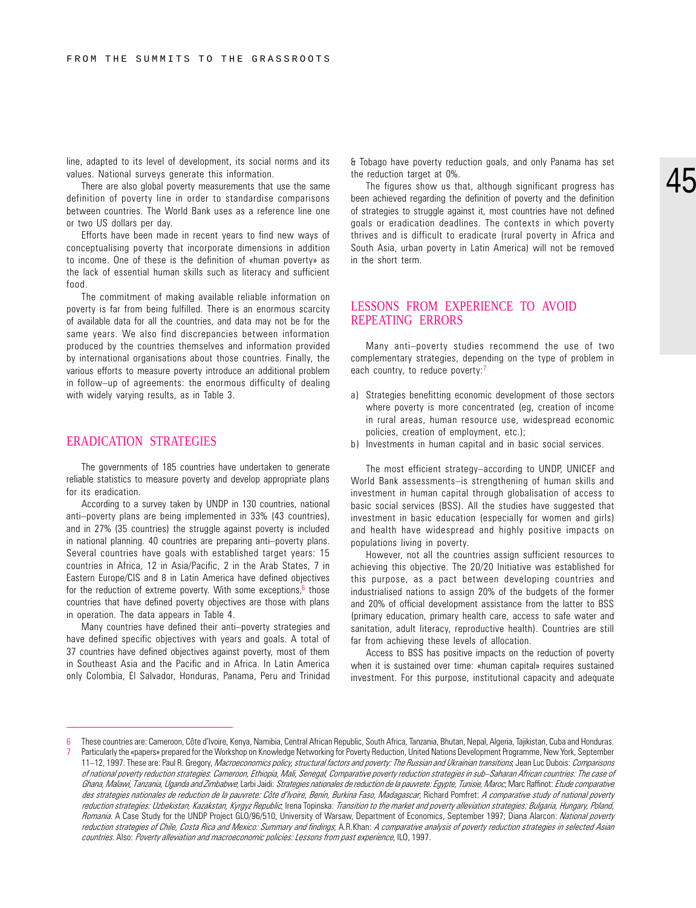line, adapted to its level of development, its social norms and its values. National surveys generate this information.

There are also global poverty measurements that use the same definition of poverty line in order to standardise comparisons between countries. The World Bank uses as a reference line one or two US dollars per day.

Efforts have been made in recent years to find new ways of conceptualising poverty that incorporate dimensions in addition to income. One of these is the definition of «human poverty» as the lack of essential human skills such as literacy and sufficient food.

The commitment of making available reliable information on poverty is far from being fulfilled. There is an enormous scarcity of available data for all the countries, and data may not be for the same years. We also find discrepancies between information produced by the countries themselves and information provided by international organisations about those countries. Finally, the various efforts to measure poverty introduce an additional problem in follow-up of agreements: the enormous difficulty of dealing with widely varying results, as in Table 3.

#### ERADICATION STRATEGIES

The governments of 185 countries have undertaken to generate reliable statistics to measure poverty and develop appropriate plans for its eradication.

According to a survey taken by UNDP in 130 countries, national anti-poverty plans are being implemented in 33% (43 countries), and in 27% (35 countries) the struggle against poverty is included in national planning. 40 countries are preparing anti-poverty plans. Several countries have goals with established target years: 15 countries in Africa, 12 in Asia/Pacific, 2 in the Arab States, 7 in Eastern Europe/CIS and 8 in Latin America have defined objectives for the reduction of extreme poverty. With some exceptions, $6$  those countries that have defined poverty objectives are those with plans in operation. The data appears in Table 4.

Many countries have defined their anti-poverty strategies and have defined specific objectives with years and goals. A total of 37 countries have defined objectives against poverty, most of them in Southeast Asia and the Pacific and in Africa. In Latin America only Colombia, El Salvador, Honduras, Panama, Peru and Trinidad & Tobago have poverty reduction goals, and only Panama has set the reduction target at 0%.

The figures show us that, although significant progress has been achieved regarding the definition of poverty and the definition of strategies to struggle against it, most countries have not defined goals or eradication deadlines. The contexts in which poverty thrives and is difficult to eradicate (rural poverty in Africa and South Asia, urban poverty in Latin America) will not be removed in the short term.

#### LESSONS FROM EXPERIENCE TO AVOID REPEATING ERRORS

Many anti-poverty studies recommend the use of two complementary strategies, depending on the type of problem in each country, to reduce poverty:<sup>7</sup>

- a) Strategies benefitting economic development of those sectors where poverty is more concentrated (eg, creation of income in rural areas, human resource use, widespread economic policies, creation of employment, etc.);
- b) Investments in human capital and in basic social services.

The most efficient strategy-according to UNDP, UNICEF and World Bank assessments-is strengthening of human skills and investment in human capital through globalisation of access to basic social services (BSS). All the studies have suggested that investment in basic education (especially for women and girls) and health have widespread and highly positive impacts on populations living in poverty.

However, not all the countries assign sufficient resources to achieving this objective. The 20/20 Initiative was established for this purpose, as a pact between developing countries and industrialised nations to assign 20% of the budgets of the former and 20% of official development assistance from the latter to BSS (primary education, primary health care, access to safe water and sanitation, adult literacy, reproductive health). Countries are still far from achieving these levels of allocation.

Access to BSS has positive impacts on the reduction of poverty when it is sustained over time: «human capital» requires sustained investment. For this purpose, institutional capacity and adequate

<sup>6</sup> These countries are: Cameroon, Côte dIvoire, Kenya, Namibia, Central African Republic, South Africa, Tanzania, Bhutan, Nepal, Algeria, Tajikistan, Cuba and Honduras. Particularly the «papers» prepared for the Workshop on Knowledge Networking for Poverty Reduction, United Nations Development Programme, New York, September 11-12, 1997. These are: Paul R. Gregory, Macroeconomics policy, structural factors and poverty: The Russian and Ukrainian transitions, Jean Luc Dubois: Comparisons of national poverty reduction strategies. Cameroon, Ethiopia, Mali, Senegal, Comparative poverty reduction strategies in sub-Saharan African countries: The case of Ghana, Malawi, Tanzania, Uganda and Zimbabwe, Larbi Jaidi: Strategies nationales de reduction de la pauvrete: Egypte, Tunisie, Maroc, Marc Raffinot: Etude comparative des strategies nationales de reduction de la pauvrete: Côte d'Ivoire, Benin, Burkina Faso, Madagascar, Richard Pomfret: A comparative study of national poverty reduction strategies: Uzbekistan, Kazakstan, Kyrgyz Republic, Irena Topinska: Transition to the market and poverty alleviation strategies: Bulgaria, Hungary, Poland, Romania. A Case Study for the UNDP Project GLO/96/510, University of Warsaw, Department of Economics, September 1997; Diana Alarcon: National poverty reduction strategies of Chile, Costa Rica and Mexico: Summary and findings; A.R.Khan: A comparative analysis of poverty reduction strategies in selected Asian countries. Also: Poverty alleviation and macroeconomic policies: Lessons from past experience, ILO, 1997.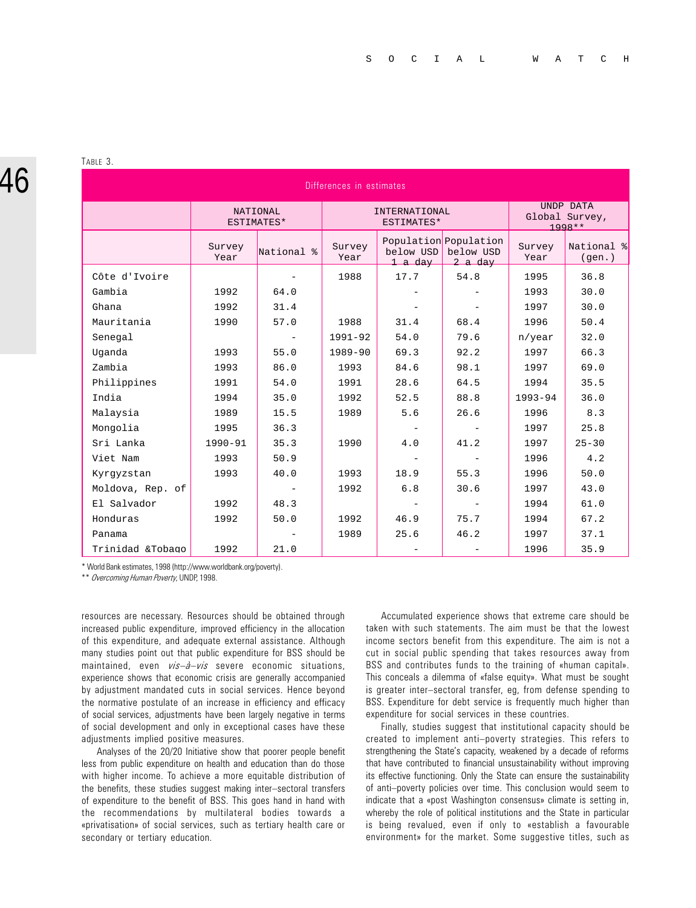# 46

TABLE 3.

| Differences in estimates |                |                               |                |                             |                                               |                |                                         |  |
|--------------------------|----------------|-------------------------------|----------------|-----------------------------|-----------------------------------------------|----------------|-----------------------------------------|--|
|                          |                | <b>NATIONAL</b><br>ESTIMATES* |                | INTERNATIONAL<br>ESTIMATES* |                                               |                | UNDP DATA<br>Global Survey,<br>$1998**$ |  |
|                          | Survey<br>Year | National %                    | Survey<br>Year | below USD<br>1 a day        | Population Population<br>below USD<br>2 a day | Survey<br>Year | National %<br>(gen.)                    |  |
| Côte d'Ivoire            |                |                               | 1988           | 17.7                        | 54.8                                          | 1995           | 36.8                                    |  |
| Gambia                   | 1992           | 64.0                          |                |                             |                                               | 1993           | 30.0                                    |  |
| Ghana                    | 1992           | 31.4                          |                |                             |                                               | 1997           | 30.0                                    |  |
| Mauritania               | 1990           | 57.0                          | 1988           | 31.4                        | 68.4                                          | 1996           | 50.4                                    |  |
| Senegal                  |                |                               | 1991-92        | 54.0                        | 79.6                                          | $n$ /year      | 32.0                                    |  |
| Uqanda                   | 1993           | 55.0                          | $1989 - 90$    | 69.3                        | 92.2                                          | 1997           | 66.3                                    |  |
| Zambia                   | 1993           | 86.0                          | 1993           | 84.6                        | 98.1                                          | 1997           | 69.0                                    |  |
| Philippines              | 1991           | 54.0                          | 1991           | 28.6                        | 64.5                                          | 1994           | 35.5                                    |  |
| India                    | 1994           | 35.0                          | 1992           | 52.5                        | 88.8                                          | $1993 - 94$    | 36.0                                    |  |
| Malaysia                 | 1989           | 15.5                          | 1989           | 5.6                         | 26.6                                          | 1996           | 8.3                                     |  |
| Mongolia                 | 1995           | 36.3                          |                |                             |                                               | 1997           | 25.8                                    |  |
| Sri Lanka                | $1990 - 91$    | 35.3                          | 1990           | 4.0                         | 41.2                                          | 1997           | $25 - 30$                               |  |
| Viet Nam                 | 1993           | 50.9                          |                |                             |                                               | 1996           | 4.2                                     |  |
| Kyrqyzstan               | 1993           | 40.0                          | 1993           | 18.9                        | 55.3                                          | 1996           | 50.0                                    |  |
| Moldova, Rep. of         |                |                               | 1992           | 6.8                         | 30.6                                          | 1997           | 43.0                                    |  |
| El Salvador              | 1992           | 48.3                          |                |                             |                                               | 1994           | 61.0                                    |  |
| Honduras                 | 1992           | 50.0                          | 1992           | 46.9                        | 75.7                                          | 1994           | 67.2                                    |  |
| Panama                   |                |                               | 1989           | 25.6                        | 46.2                                          | 1997           | 37.1                                    |  |
| Trinidad &Tobago         | 1992           | 21.0                          |                |                             |                                               | 1996           | 35.9                                    |  |

\* World Bank estimates, 1998 (http://www.worldbank.org/poverty).

\*\* Overcoming Human Poverty, UNDP, 1998.

resources are necessary. Resources should be obtained through increased public expenditure, improved efficiency in the allocation of this expenditure, and adequate external assistance. Although many studies point out that public expenditure for BSS should be maintained, even  $vis-\partial - vis$  severe economic situations, experience shows that economic crisis are generally accompanied by adjustment mandated cuts in social services. Hence beyond the normative postulate of an increase in efficiency and efficacy of social services, adjustments have been largely negative in terms of social development and only in exceptional cases have these adjustments implied positive measures.

Analyses of the 20/20 Initiative show that poorer people benefit less from public expenditure on health and education than do those with higher income. To achieve a more equitable distribution of the benefits, these studies suggest making inter-sectoral transfers of expenditure to the benefit of BSS. This goes hand in hand with the recommendations by multilateral bodies towards a «privatisation» of social services, such as tertiary health care or secondary or tertiary education.

Accumulated experience shows that extreme care should be taken with such statements. The aim must be that the lowest income sectors benefit from this expenditure. The aim is not a cut in social public spending that takes resources away from BSS and contributes funds to the training of «human capital». This conceals a dilemma of «false equity». What must be sought is greater inter-sectoral transfer, eg, from defense spending to BSS. Expenditure for debt service is frequently much higher than expenditure for social services in these countries.

Finally, studies suggest that institutional capacity should be created to implement anti-poverty strategies. This refers to strengthening the State's capacity, weakened by a decade of reforms that have contributed to financial unsustainability without improving its effective functioning. Only the State can ensure the sustainability of anti-poverty policies over time. This conclusion would seem to indicate that a «post Washington consensus» climate is setting in, whereby the role of political institutions and the State in particular is being revalued, even if only to «establish a favourable environment» for the market. Some suggestive titles, such as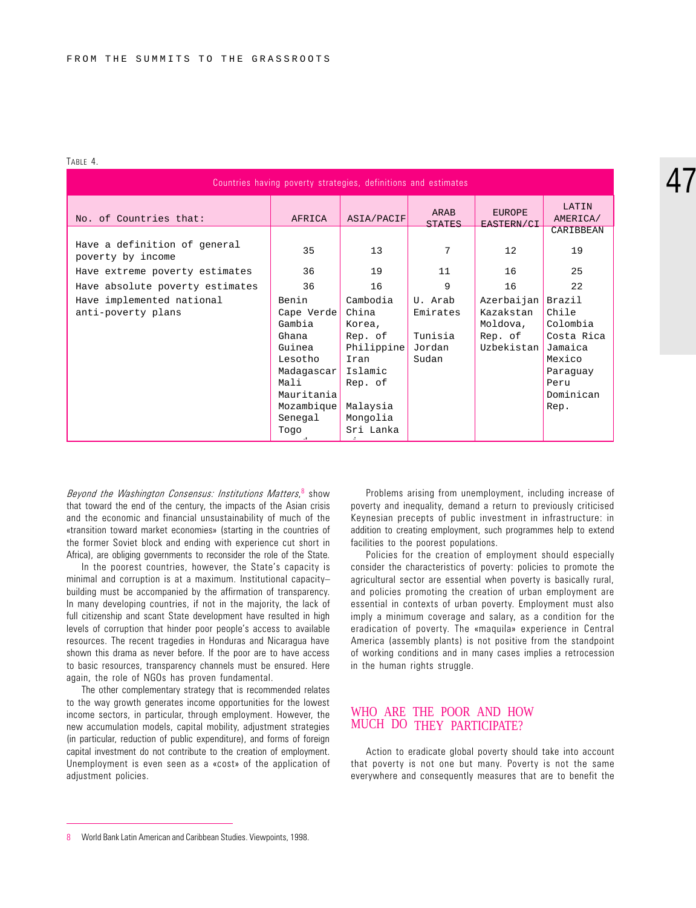#### TABLE 4.

| Countries having poverty strategies, definitions and estimates |                                                                                                                                  |                                                                                                                         |                                                   |                                                              |                                                                                                         |  |
|----------------------------------------------------------------|----------------------------------------------------------------------------------------------------------------------------------|-------------------------------------------------------------------------------------------------------------------------|---------------------------------------------------|--------------------------------------------------------------|---------------------------------------------------------------------------------------------------------|--|
| No. of Countries that:                                         | AFRICA                                                                                                                           | ASIA/PACIF                                                                                                              | ARAB<br><b>STATES</b>                             | <b>EUROPE</b><br>EASTERN/CI                                  | LATIN<br>AMERICA/                                                                                       |  |
| Have a definition of general<br>poverty by income              | 35                                                                                                                               | 13                                                                                                                      | 7                                                 | 12                                                           | CARIBBEAN<br>19                                                                                         |  |
| Have extreme poverty estimates                                 | 36                                                                                                                               | 19                                                                                                                      | 11                                                | 16                                                           | 25                                                                                                      |  |
| Have absolute poverty estimates                                | 36                                                                                                                               | 16                                                                                                                      | 9                                                 | 16                                                           | 22                                                                                                      |  |
| Have implemented national<br>anti-poverty plans                | Benin<br>Cape Verde<br>Gambia<br>Ghana<br>Guinea<br>Lesotho<br>Madagascar<br>Mali<br>Mauritania<br>Mozambique<br>Senegal<br>Togo | Cambodia<br>China<br>Korea,<br>Rep. of<br>Philippine<br>Iran<br>Islamic<br>Rep. of<br>Malaysia<br>Mongolia<br>Sri Lanka | U. Arab<br>Emirates<br>Tunisia<br>Jordan<br>Sudan | Azerbaijan<br>Kazakstan<br>Moldova,<br>Rep. of<br>Uzbekistan | Brazil<br>Chile<br>Colombia<br>Costa Rica<br>Jamaica<br>Mexico<br>Paraquay<br>Peru<br>Dominican<br>Rep. |  |

Beyond the Washington Consensus: Institutions Matters, 8 show that toward the end of the century, the impacts of the Asian crisis and the economic and financial unsustainability of much of the «transition toward market economies» (starting in the countries of the former Soviet block and ending with experience cut short in Africa), are obliging governments to reconsider the role of the State.

In the poorest countries, however, the State's capacity is minimal and corruption is at a maximum. Institutional capacity building must be accompanied by the affirmation of transparency. In many developing countries, if not in the majority, the lack of full citizenship and scant State development have resulted in high levels of corruption that hinder poor people's access to available resources. The recent tragedies in Honduras and Nicaragua have shown this drama as never before. If the poor are to have access to basic resources, transparency channels must be ensured. Here again, the role of NGOs has proven fundamental.

The other complementary strategy that is recommended relates to the way growth generates income opportunities for the lowest income sectors, in particular, through employment. However, the new accumulation models, capital mobility, adjustment strategies (in particular, reduction of public expenditure), and forms of foreign capital investment do not contribute to the creation of employment. Unemployment is even seen as a «cost» of the application of adjustment policies.

Problems arising from unemployment, including increase of poverty and inequality, demand a return to previously criticised Keynesian precepts of public investment in infrastructure: in addition to creating employment, such programmes help to extend facilities to the poorest populations.

Policies for the creation of employment should especially consider the characteristics of poverty: policies to promote the agricultural sector are essential when poverty is basically rural, and policies promoting the creation of urban employment are essential in contexts of urban poverty. Employment must also imply a minimum coverage and salary, as a condition for the eradication of poverty. The «maquila» experience in Central America (assembly plants) is not positive from the standpoint of working conditions and in many cases implies a retrocession in the human rights struggle.

### WHO ARE THE POOR AND HOW MUCH DO THEY PARTICIPATE?

Action to eradicate global poverty should take into account that poverty is not one but many. Poverty is not the same everywhere and consequently measures that are to benefit the

<sup>8</sup> World Bank Latin American and Caribbean Studies. Viewpoints, 1998.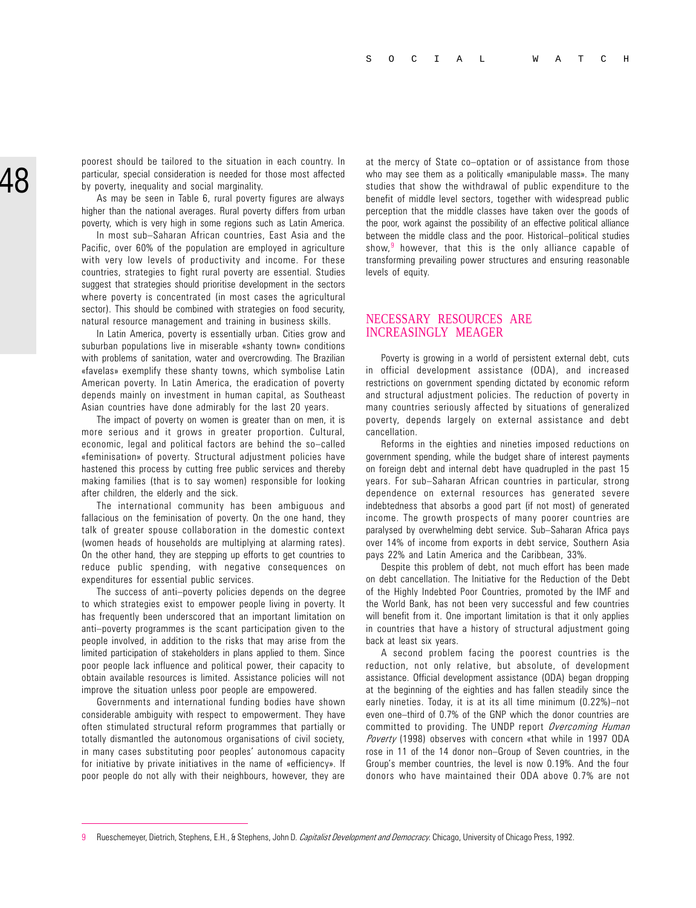poorest should be tailored to the situation in each country. In particular, special consideration is needed for those most affected by poverty, inequality and social marginality.

As may be seen in Table 6, rural poverty figures are always higher than the national averages. Rural poverty differs from urban poverty, which is very high in some regions such as Latin America.

In most sub-Saharan African countries, East Asia and the Pacific, over 60% of the population are employed in agriculture with very low levels of productivity and income. For these countries, strategies to fight rural poverty are essential. Studies suggest that strategies should prioritise development in the sectors where poverty is concentrated (in most cases the agricultural sector). This should be combined with strategies on food security, natural resource management and training in business skills.

In Latin America, poverty is essentially urban. Cities grow and suburban populations live in miserable «shanty town» conditions with problems of sanitation, water and overcrowding. The Brazilian «favelas» exemplify these shanty towns, which symbolise Latin American poverty. In Latin America, the eradication of poverty depends mainly on investment in human capital, as Southeast Asian countries have done admirably for the last 20 years.

The impact of poverty on women is greater than on men, it is more serious and it grows in greater proportion. Cultural, economic, legal and political factors are behind the so-called «feminisation» of poverty. Structural adjustment policies have hastened this process by cutting free public services and thereby making families (that is to say women) responsible for looking after children, the elderly and the sick.

The international community has been ambiguous and fallacious on the feminisation of poverty. On the one hand, they talk of greater spouse collaboration in the domestic context (women heads of households are multiplying at alarming rates). On the other hand, they are stepping up efforts to get countries to reduce public spending, with negative consequences on expenditures for essential public services.

The success of anti-poverty policies depends on the degree to which strategies exist to empower people living in poverty. It has frequently been underscored that an important limitation on anti-poverty programmes is the scant participation given to the people involved, in addition to the risks that may arise from the limited participation of stakeholders in plans applied to them. Since poor people lack influence and political power, their capacity to obtain available resources is limited. Assistance policies will not improve the situation unless poor people are empowered.

Governments and international funding bodies have shown considerable ambiguity with respect to empowerment. They have often stimulated structural reform programmes that partially or totally dismantled the autonomous organisations of civil society, in many cases substituting poor peoples' autonomous capacity for initiative by private initiatives in the name of «efficiency». If poor people do not ally with their neighbours, however, they are at the mercy of State co-optation or of assistance from those who may see them as a politically «manipulable mass». The many studies that show the withdrawal of public expenditure to the benefit of middle level sectors, together with widespread public perception that the middle classes have taken over the goods of the poor, work against the possibility of an effective political alliance between the middle class and the poor. Historical-political studies show,  $9$  however, that this is the only alliance capable of transforming prevailing power structures and ensuring reasonable levels of equity.

#### NECESSARY RESOURCES ARE INCREASINGLY MEAGER

Poverty is growing in a world of persistent external debt, cuts in official development assistance (ODA), and increased restrictions on government spending dictated by economic reform and structural adjustment policies. The reduction of poverty in many countries seriously affected by situations of generalized poverty, depends largely on external assistance and debt cancellation.

Reforms in the eighties and nineties imposed reductions on government spending, while the budget share of interest payments on foreign debt and internal debt have quadrupled in the past 15 years. For sub-Saharan African countries in particular, strong dependence on external resources has generated severe indebtedness that absorbs a good part (if not most) of generated income. The growth prospects of many poorer countries are paralysed by overwhelming debt service. Sub-Saharan Africa pays over 14% of income from exports in debt service, Southern Asia pays 22% and Latin America and the Caribbean, 33%.

Despite this problem of debt, not much effort has been made on debt cancellation. The Initiative for the Reduction of the Debt of the Highly Indebted Poor Countries, promoted by the IMF and the World Bank, has not been very successful and few countries will benefit from it. One important limitation is that it only applies in countries that have a history of structural adjustment going back at least six years.

A second problem facing the poorest countries is the reduction, not only relative, but absolute, of development assistance. Official development assistance (ODA) began dropping at the beginning of the eighties and has fallen steadily since the early nineties. Today, it is at its all time minimum (0.22%)-not even one-third of 0.7% of the GNP which the donor countries are committed to providing. The UNDP report Overcoming Human Poverty (1998) observes with concern «that while in 1997 ODA rose in 11 of the 14 donor non-Group of Seven countries, in the Group's member countries, the level is now 0.19%. And the four donors who have maintained their ODA above 0.7% are not

<sup>9</sup> Rueschemeyer, Dietrich, Stephens, E.H., & Stephens, John D. Capitalist Development and Democracy. Chicago, University of Chicago Press, 1992.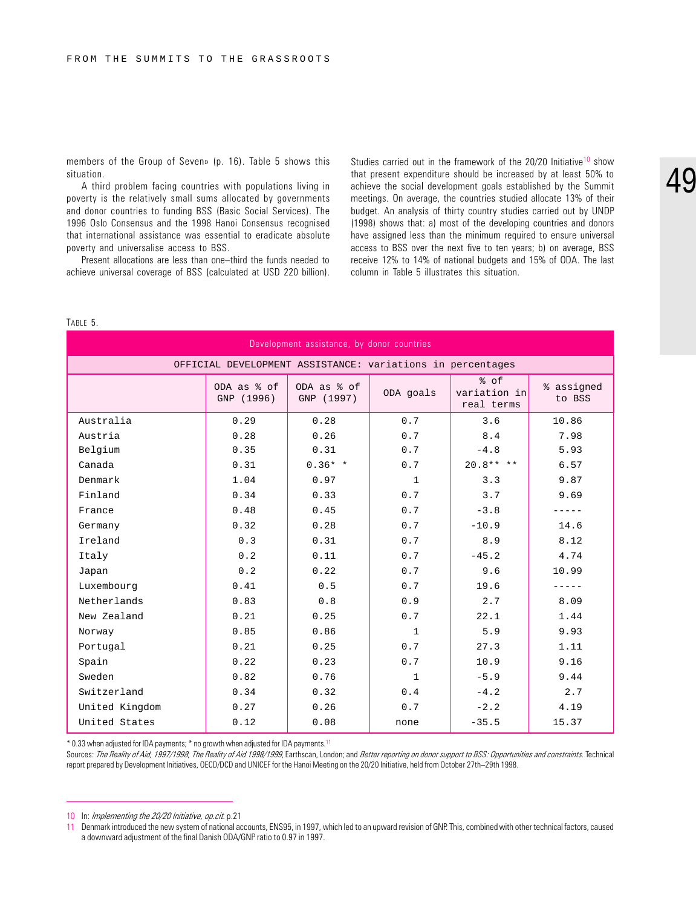members of the Group of Seven» (p. 16). Table 5 shows this situation.

A third problem facing countries with populations living in poverty is the relatively small sums allocated by governments and donor countries to funding BSS (Basic Social Services). The 1996 Oslo Consensus and the 1998 Hanoi Consensus recognised that international assistance was essential to eradicate absolute poverty and universalise access to BSS.

Present allocations are less than one-third the funds needed to achieve universal coverage of BSS (calculated at USD 220 billion).

Studies carried out in the framework of the  $20/20$  Initiative<sup>10</sup> show that present expenditure should be increased by at least 50% to achieve the social development goals established by the Summit meetings. On average, the countries studied allocate 13% of their budget. An analysis of thirty country studies carried out by UNDP (1998) shows that: a) most of the developing countries and donors have assigned less than the minimum required to ensure universal access to BSS over the next five to ten years; b) on average, BSS receive 12% to 14% of national budgets and 15% of ODA. The last column in Table 5 illustrates this situation.

#### TABLE 5.

| Development assistance, by donor countries                 |                           |                           |              |                                    |                      |  |  |
|------------------------------------------------------------|---------------------------|---------------------------|--------------|------------------------------------|----------------------|--|--|
| OFFICIAL DEVELOPMENT ASSISTANCE: variations in percentages |                           |                           |              |                                    |                      |  |  |
|                                                            | ODA as % of<br>GNP (1996) | ODA as % of<br>GNP (1997) | ODA goals    | % of<br>variation in<br>real terms | % assigned<br>to BSS |  |  |
| Australia                                                  | 0.29                      | 0.28                      | 0.7          | 3.6                                | 10.86                |  |  |
| Austria                                                    | 0.28                      | 0.26                      | 0.7          | 8.4                                | 7.98                 |  |  |
| Belgium                                                    | 0.35                      | 0.31                      | 0.7          | $-4.8$                             | 5.93                 |  |  |
| Canada                                                     | 0.31                      | $0.36*$ *                 | 0.7          | $20.8******$                       | 6.57                 |  |  |
| Denmark                                                    | 1.04                      | 0.97                      | $\mathbf{1}$ | 3.3                                | 9.87                 |  |  |
| Finland                                                    | 0.34                      | 0.33                      | 0.7          | 3.7                                | 9.69                 |  |  |
| France                                                     | 0.48                      | 0.45                      | 0.7          | $-3.8$                             |                      |  |  |
| Germany                                                    | 0.32                      | 0.28                      | 0.7          | $-10.9$                            | 14.6                 |  |  |
| Ireland                                                    | 0.3                       | 0.31                      | 0.7          | 8.9                                | 8.12                 |  |  |
| Italy                                                      | 0.2                       | 0.11                      | 0.7          | $-45.2$                            | 4.74                 |  |  |
| Japan                                                      | 0.2                       | 0.22                      | 0.7          | 9.6                                | 10.99                |  |  |
| Luxembourg                                                 | 0.41                      | 0.5                       | 0.7          | 19.6                               |                      |  |  |
| Netherlands                                                | 0.83                      | 0.8                       | 0.9          | 2.7                                | 8.09                 |  |  |
| New Zealand                                                | 0.21                      | 0.25                      | 0.7          | 22.1                               | 1.44                 |  |  |
| Norway                                                     | 0.85                      | 0.86                      | $\mathbf{1}$ | 5.9                                | 9.93                 |  |  |
| Portugal                                                   | 0.21                      | 0.25                      | 0.7          | 27.3                               | 1.11                 |  |  |
| Spain                                                      | 0.22                      | 0.23                      | 0.7          | 10.9                               | 9.16                 |  |  |
| Sweden                                                     | 0.82                      | 0.76                      | $\mathbf{1}$ | $-5.9$                             | 9.44                 |  |  |
| Switzerland                                                | 0.34                      | 0.32                      | 0.4          | $-4.2$                             | 2.7                  |  |  |
| United Kingdom                                             | 0.27                      | 0.26                      | 0.7          | $-2.2$                             | 4.19                 |  |  |
| United States                                              | 0.12                      | 0.08                      | none         | $-35.5$                            | 15.37                |  |  |

\* 0.33 when adjusted for IDA payments; \* no growth when adjusted for IDA payments.11

Sources: The Reality of Aid, 1997/1998; The Reality of Aid 1998/1999, Earthscan, London; and Better reporting on donor support to BSS: Opportunities and constraints. Technical report prepared by Development Initiatives, OECD/DCD and UNICEF for the Hanoi Meeting on the 20/20 Initiative, held from October 27th-29th 1998.

10 In: Implementing the 20/20 Initiative, op.cit. p.21

<sup>11</sup> Denmark introduced the new system of national accounts, ENS95, in 1997, which led to an upward revision of GNP. This, combined with other technical factors, caused a downward adjustment of the final Danish ODA/GNP ratio to 0.97 in 1997.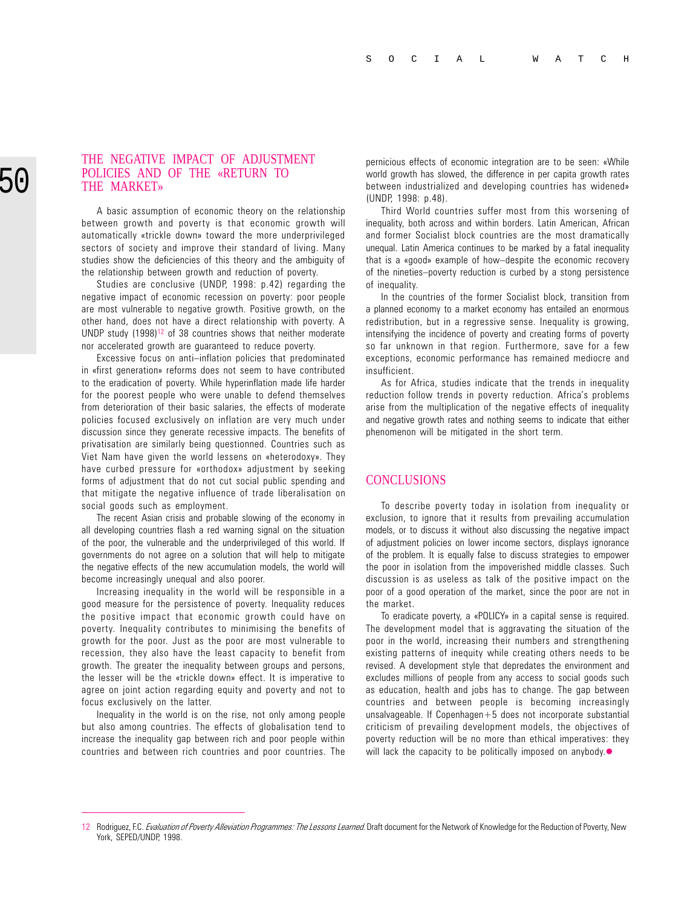#### THE NEGATIVE IMPACT OF ADJUSTMENT POLICIES AND OF THE «RETURN TO THE MARKET»

A basic assumption of economic theory on the relationship between growth and poverty is that economic growth will automatically «trickle down» toward the more underprivileged sectors of society and improve their standard of living. Many studies show the deficiencies of this theory and the ambiguity of the relationship between growth and reduction of poverty.

Studies are conclusive (UNDP, 1998: p.42) regarding the negative impact of economic recession on poverty: poor people are most vulnerable to negative growth. Positive growth, on the other hand, does not have a direct relationship with poverty. A UNDP study  $(1998)^{12}$  of 38 countries shows that neither moderate nor accelerated growth are guaranteed to reduce poverty.

Excessive focus on anti-inflation policies that predominated in «first generation» reforms does not seem to have contributed to the eradication of poverty. While hyperinflation made life harder for the poorest people who were unable to defend themselves from deterioration of their basic salaries, the effects of moderate policies focused exclusively on inflation are very much under discussion since they generate recessive impacts. The benefits of privatisation are similarly being questionned. Countries such as Viet Nam have given the world lessens on «heterodoxy». They have curbed pressure for «orthodox» adjustment by seeking forms of adjustment that do not cut social public spending and that mitigate the negative influence of trade liberalisation on social goods such as employment.

The recent Asian crisis and probable slowing of the economy in all developing countries flash a red warning signal on the situation of the poor, the vulnerable and the underprivileged of this world. If governments do not agree on a solution that will help to mitigate the negative effects of the new accumulation models, the world will become increasingly unequal and also poorer.

Increasing inequality in the world will be responsible in a good measure for the persistence of poverty. Inequality reduces the positive impact that economic growth could have on poverty. Inequality contributes to minimising the benefits of growth for the poor. Just as the poor are most vulnerable to recession, they also have the least capacity to benefit from growth. The greater the inequality between groups and persons, the lesser will be the «trickle down» effect. It is imperative to agree on joint action regarding equity and poverty and not to focus exclusively on the latter.

Inequality in the world is on the rise, not only among people but also among countries. The effects of globalisation tend to increase the inequality gap between rich and poor people within countries and between rich countries and poor countries. The pernicious effects of economic integration are to be seen: «While world growth has slowed, the difference in per capita growth rates between industrialized and developing countries has widened» (UNDP, 1998: p.48).

Third World countries suffer most from this worsening of inequality, both across and within borders. Latin American, African and former Socialist block countries are the most dramatically unequal. Latin America continues to be marked by a fatal inequality that is a «good» example of how-despite the economic recovery of the nineties-poverty reduction is curbed by a stong persistence of inequality.

In the countries of the former Socialist block, transition from a planned economy to a market economy has entailed an enormous redistribution, but in a regressive sense. Inequality is growing, intensifying the incidence of poverty and creating forms of poverty so far unknown in that region. Furthermore, save for a few exceptions, economic performance has remained mediocre and insufficient.

As for Africa, studies indicate that the trends in inequality reduction follow trends in poverty reduction. Africa's problems arise from the multiplication of the negative effects of inequality and negative growth rates and nothing seems to indicate that either phenomenon will be mitigated in the short term.

#### **CONCLUSIONS**

To describe poverty today in isolation from inequality or exclusion, to ignore that it results from prevailing accumulation models, or to discuss it without also discussing the negative impact of adjustment policies on lower income sectors, displays ignorance of the problem. It is equally false to discuss strategies to empower the poor in isolation from the impoverished middle classes. Such discussion is as useless as talk of the positive impact on the poor of a good operation of the market, since the poor are not in the market.

To eradicate poverty, a «POLICY» in a capital sense is required. The development model that is aggravating the situation of the poor in the world, increasing their numbers and strengthening existing patterns of inequity while creating others needs to be revised. A development style that depredates the environment and excludes millions of people from any access to social goods such as education, health and jobs has to change. The gap between countries and between people is becoming increasingly unsalvageable. If Copenhagen $+5$  does not incorporate substantial criticism of prevailing development models, the objectives of poverty reduction will be no more than ethical imperatives: they will lack the capacity to be politically imposed on anybody. $\bullet$ 

<sup>12</sup> Rodriguez, F.C. Evaluation of Poverty Alleviation Programmes: The Lessons Learned. Draft document for the Network of Knowledge for the Reduction of Poverty, New York, SEPED/UNDP, 1998.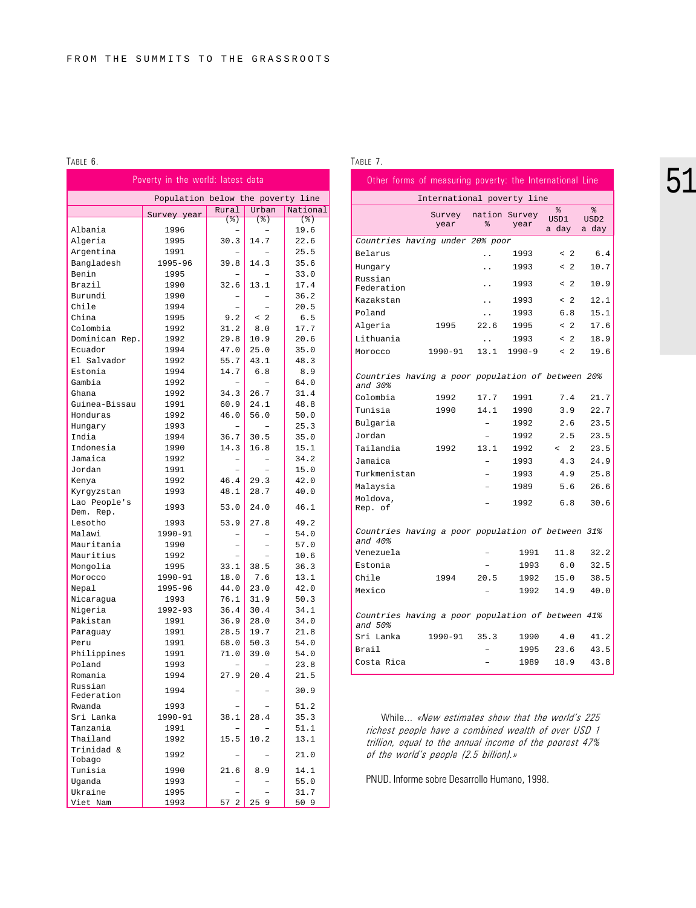#### TABLE 6.

| Poverty in the world: latest data |                                   |                      |              |              |  |
|-----------------------------------|-----------------------------------|----------------------|--------------|--------------|--|
|                                   | Population below the poverty line |                      |              |              |  |
|                                   | Survey year                       | Rural                | Urban        | National     |  |
|                                   |                                   | (2)                  | $($ $\})$    | (3)          |  |
| Albania                           | 1996                              |                      |              | 19.6         |  |
| Algeria                           | 1995                              | 30.3                 | 14.7         | 22.6         |  |
| Argentina                         | 1991                              |                      |              | 25.5         |  |
| Bangladesh                        | 1995-96                           | 39.8                 | 14.3         | 35.6         |  |
| Benin                             | 1995                              |                      |              | 33.0         |  |
| Brazil                            | 1990                              | 32.6                 | 13.1         | 17.4         |  |
| Burundi                           | 1990                              |                      |              | 36.2         |  |
| Chile                             | 1994                              |                      |              | 20.5         |  |
| China                             | 1995                              | 9.2                  | $<$ 2        | 6.5          |  |
| Colombia                          | 1992                              | 31.2                 | 8.0          | 17.7         |  |
| Dominican Rep.                    | 1992                              | 29.8                 | 10.9         | 20.6         |  |
| Ecuador                           | 1994                              | 47.0                 | 25.0         | 35.0         |  |
| El Salvador                       | 1992                              | 55.7                 | 43.1         | 48.3         |  |
| Estonia                           | 1994                              | 14.7                 | 6.8          | 8.9<br>64.0  |  |
| Gambia                            | 1992                              |                      |              |              |  |
| Ghana<br>Guinea-Bissau            | 1992                              | 34.3<br>60.9         | 26.7<br>24.1 | 31.4         |  |
| Honduras                          | 1991<br>1992                      | 46.0                 | 56.0         | 48.8<br>50.0 |  |
| Hungary                           | 1993                              |                      |              | 25.3         |  |
| India                             | 1994                              | 36.7                 | 30.5         | 35.0         |  |
| Indonesia                         | 1990                              | 14.3                 | 16.8         | 15.1         |  |
| Jamaica                           | 1992                              |                      |              | 34.2         |  |
| Jordan                            | 1991                              |                      |              | 15.0         |  |
| Kenya                             | 1992                              | 46.4                 | 29.3         | 42.0         |  |
| Kyrgyzstan                        | 1993                              | 48.1                 | 28.7         | 40.0         |  |
| Lao People's                      |                                   |                      |              |              |  |
| Dem. Rep.                         | 1993                              | 53.0                 | 24.0         | 46.1         |  |
| Lesotho                           | 1993                              | 53.9                 | 27.8         | 49.2         |  |
| Malawi                            | 1990-91                           |                      |              | 54.0         |  |
| Mauritania                        | 1990                              |                      |              | 57.0         |  |
| Mauritius                         | 1992                              |                      |              | 10.6         |  |
| Mongolia                          | 1995                              | 33.1                 | 38.5         | 36.3         |  |
| Morocco                           | 1990-91                           | 18.0                 | 7.6          | 13.1         |  |
| Nepal                             | 1995-96                           | 44.0                 | 23.0         | 42.0         |  |
| Nicaragua                         | 1993                              | 76.1                 | 31.9         | 50.3         |  |
| Nigeria                           | 1992-93                           | 36.4                 | 30.4         | 34.1         |  |
| Pakistan                          | 1991                              | 36.9                 | 28.0         | 34.0         |  |
| Paraquay                          | 1991<br>1991                      | 28.5                 | 19.7         | 21.8<br>54.0 |  |
| Peru                              |                                   | 68.0                 | 50.3         |              |  |
| Philippines                       | 1991<br>1993                      | 71.0                 | 39.0         | 54.0<br>23.8 |  |
| Poland<br>Romania                 | 1994                              | 27.9                 | 20.4         | 21.5         |  |
| Russian                           |                                   |                      |              |              |  |
| Federation                        | 1994                              |                      |              | 30.9         |  |
| Rwanda                            | 1993                              |                      |              | 51.2         |  |
| Sri Lanka                         | 1990-91                           | 38.1                 | 28.4         | 35.3         |  |
| Tanzania                          | 1991                              |                      |              | 51.1         |  |
| Thailand<br>Trinidad &            | 1992                              | 15.5                 | 10.2         | 13.1         |  |
| Tobago                            | 1992                              |                      |              | 21.0         |  |
| Tunisia                           | 1990                              | 21.6                 | 8.9          | 14.1         |  |
| Uganda                            | 1993                              |                      |              | 55.0         |  |
| Ukraine                           | 1995                              |                      |              | 31.7         |  |
| Viet Nam                          | 1993                              | 57<br>$\mathfrak{D}$ | 259          | 509          |  |

#### TABLE 7.

|                                                                     | Other forms of measuring poverty: the International Line |           |                       |                              |                                 |
|---------------------------------------------------------------------|----------------------------------------------------------|-----------|-----------------------|------------------------------|---------------------------------|
|                                                                     | International poverty line                               |           |                       |                              |                                 |
|                                                                     | Survey<br>year                                           | る         | nation Survey<br>year | ٩,<br>USD1<br>a day          | ٩,<br>USD <sub>2</sub><br>a day |
| Countries having under 20% poor                                     |                                                          |           |                       |                              |                                 |
| Belarus                                                             |                                                          |           | 1993                  | $\leq$ 2                     | 6.4                             |
| Hungary                                                             |                                                          |           | 1993                  | $\mathfrak{D}$<br>$\epsilon$ | 10.7                            |
| Russian<br>Federation                                               |                                                          | . .       | 1993                  | $<$ 2                        | 10.9                            |
| Kazakstan                                                           |                                                          | . .       | 1993                  | $\overline{2}$<br>$\lt$      | 12.1                            |
| Poland                                                              |                                                          | . .       | 1993                  | 6.8                          | 15.1                            |
| Algeria                                                             | 1995                                                     | 22.6      | 1995                  | < 2                          | 17.6                            |
| Lithuania                                                           |                                                          | $\ddotsc$ | 1993                  | < 2                          | 18.9                            |
| Morocco                                                             | 1990-91                                                  | 13.1      | 1990-9                | $<$ 2                        | 19.6                            |
| Countries having a poor population of between 20%<br>and 30%        |                                                          |           |                       |                              |                                 |
| Colombia                                                            | 1992                                                     | 17.7      | 1991                  | 7.4                          | 21.7                            |
| Tunisia                                                             | 1990                                                     | 14.1      | 1990                  | 3.9                          | 22.7                            |
| Bulgaria                                                            |                                                          |           | 1992                  | 2.6                          | 23.5                            |
| Jordan                                                              |                                                          |           | 1992                  | 2.5                          | 23.5                            |
| Tailandia                                                           | 1992                                                     | 13.1      | 1992                  | $\overline{a}$<br>$\epsilon$ | 23.5                            |
| Jamaica                                                             |                                                          |           | 1993                  | 4.3                          | 24.9                            |
| Turkmenistan                                                        |                                                          |           | 1993                  | 4.9                          | 25.8                            |
| Malaysia                                                            |                                                          |           | 1989                  | 5.6                          | 26.6                            |
| Moldova,<br>Rep. of                                                 |                                                          |           | 1992                  | 6.8                          | 30.6                            |
| <i>Countries having a poor population of between 31%</i><br>and 40% |                                                          |           |                       |                              |                                 |
| Venezuela                                                           |                                                          |           | 1991                  | 11.8                         | 32.2                            |
| Estonia                                                             |                                                          |           | 1993                  | 6.0                          | 32.5                            |
| Chile                                                               | 1994                                                     | 20.5      | 1992                  | 15.0                         | 38.5                            |
| Mexico                                                              |                                                          |           | 1992                  | 14.9                         | 40.0                            |
| Countries having a poor population of between 41%<br>and 50%        |                                                          |           |                       |                              |                                 |
| Sri Lanka                                                           | $1990 - 91$                                              | 35.3      | 1990                  | 4.0                          | 41.2                            |
| Brail                                                               |                                                          |           | 1995                  | 23.6                         | 43.5                            |
| Costa Rica                                                          |                                                          |           | 1989                  | 18.9                         | 43.8                            |

While... «New estimates show that the world's 225 richest people have a combined wealth of over USD 1 trillion, equal to the annual income of the poorest 47% of the world's people (2.5 billion).»

PNUD. Informe sobre Desarrollo Humano, 1998.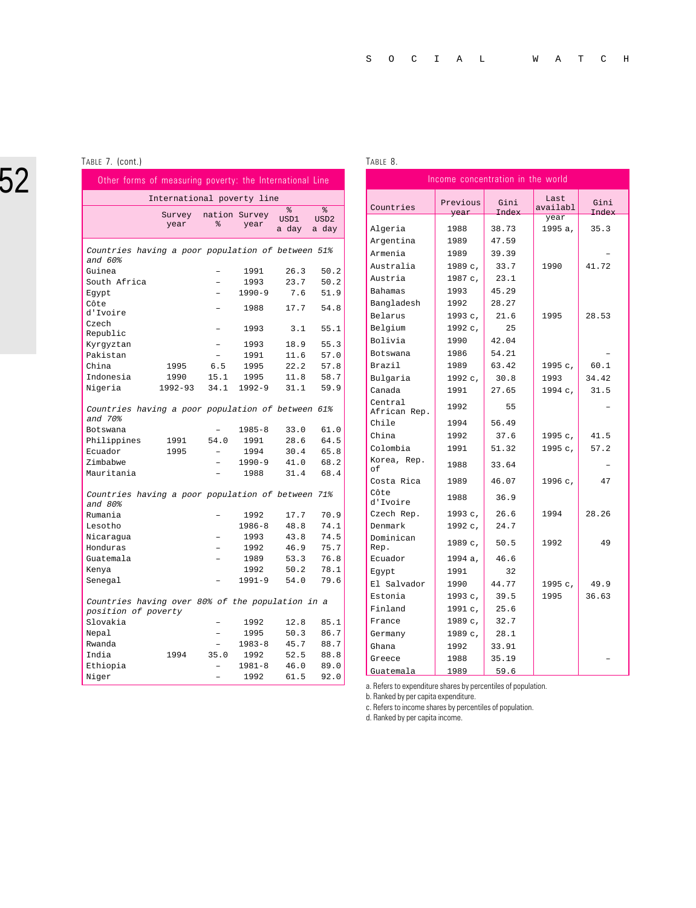#### TABLE 7. (cont.)

|                                                                         | Other forms of measuring poverty: the International Line |                    |            |                     |                                 |
|-------------------------------------------------------------------------|----------------------------------------------------------|--------------------|------------|---------------------|---------------------------------|
|                                                                         | International poverty line                               |                    |            |                     |                                 |
|                                                                         | Survey<br>year                                           | nation Survey<br>옹 | year       | နွ<br>USD1<br>a day | နွ<br>USD <sub>2</sub><br>a day |
| Countries having a poor population of between 51%<br>and 60%            |                                                          |                    |            |                     |                                 |
| Guinea                                                                  |                                                          |                    | 1991       | 26.3                | 50.2                            |
| South Africa                                                            |                                                          |                    | 1993       | 23.7                | 50.2                            |
| Egypt                                                                   |                                                          |                    | $1990 - 9$ | 7.6                 | 51.9                            |
| Côte<br>d'Ivoire                                                        |                                                          |                    | 1988       | 17.7                | 54.8                            |
| Czech<br>Republic                                                       |                                                          |                    | 1993       | 3.1                 | 55.1                            |
| Kyrgyztan                                                               |                                                          |                    | 1993       | 18.9                | 55.3                            |
| Pakistan                                                                |                                                          |                    | 1991       | 11.6                | 57.0                            |
| China                                                                   | 1995                                                     | 6.5                | 1995       | 22.2                | 57.8                            |
| Indonesia                                                               | 1990                                                     | 15.1               | 1995       | 11.8                | 58.7                            |
| Nigeria                                                                 | $1992 - 93$                                              | 34.1               | $1992 - 9$ | 31.1                | 59.9                            |
| Countries having a poor population of between 61%<br>and 70%            |                                                          |                    |            |                     |                                 |
| Botswana                                                                |                                                          |                    | $1985 - 8$ | 33.0                | 61.0                            |
| Philippines                                                             | 1991                                                     | 54.0               | 1991       | 28.6                | 64.5                            |
| Ecuador                                                                 | 1995                                                     |                    | 1994       | 30.4                | 65.8                            |
| Zimbabwe                                                                |                                                          |                    | $1990 - 9$ | 41.0                | 68.2                            |
| Mauritania                                                              |                                                          |                    | 1988       | 31.4                | 68.4                            |
| Countries having a poor population of between<br>and 80%                |                                                          |                    |            |                     | 71%                             |
| Rumania                                                                 |                                                          |                    | 1992       | 17.7                | 70.9                            |
| Lesotho                                                                 |                                                          |                    | $1986 - 8$ | 48.8                | 74.1                            |
| Nicaragua                                                               |                                                          |                    | 1993       | 43.8                | 74.5                            |
| Honduras                                                                |                                                          |                    | 1992       | 46.9                | 75.7                            |
| Guatemala                                                               |                                                          |                    | 1989       | 53.3                | 76.8                            |
| Kenya                                                                   |                                                          |                    | 1992       | 50.2                | 78.1                            |
| Senegal                                                                 |                                                          |                    | $1991 - 9$ | 54.0                | 79.6                            |
| Countries having over 80% of the population in a<br>position of poverty |                                                          |                    |            |                     |                                 |
| Slovakia                                                                |                                                          |                    | 1992       | 12.8                | 85.1                            |
| Nepal                                                                   |                                                          |                    | 1995       | 50.3                | 86.7                            |
| Rwanda                                                                  |                                                          |                    | $1983 - 8$ | 45.7                | 88.7                            |
| India                                                                   | 1994                                                     | 35.0               | 1992       | 52.5                | 88.8                            |
| Ethiopia                                                                |                                                          |                    | $1981 - 8$ | 46.0                | 89.0                            |
| Niger                                                                   |                                                          | ÷,                 | 1992       | 61.5                | 92.0                            |

#### TABLE 8.

| Income concentration in the world |                  |               |                  |               |  |  |
|-----------------------------------|------------------|---------------|------------------|---------------|--|--|
| Countries                         | Previous<br>year | Gini<br>Index | Last<br>availabl | Gini<br>Index |  |  |
|                                   |                  |               | year             |               |  |  |
| Algeria                           | 1988             | 38.73         | 1995 a,          | 35.3          |  |  |
| Argentina                         | 1989             | 47.59         |                  |               |  |  |
| Armenia                           | 1989             | 39.39         |                  |               |  |  |
| Australia                         | 1989 с,          | 33.7          | 1990             | 41.72         |  |  |
| Austria                           | 1987 с,          | 23.1          |                  |               |  |  |
| <b>Bahamas</b>                    | 1993             | 45.29         |                  |               |  |  |
| Bangladesh                        | 1992             | 28.27         |                  |               |  |  |
| Belarus                           | 1993c,           | 21.6          | 1995             | 28.53         |  |  |
| Belgium                           | 1992 с.          | 25            |                  |               |  |  |
| Bolivia                           | 1990             | 42.04         |                  |               |  |  |
| Botswana                          | 1986             | 54.21         |                  |               |  |  |
| Brazil                            | 1989             | 63.42         | 1995 с,          | 60.1          |  |  |
| Bulgaria                          | 1992c,           | 30.8          | 1993             | 34.42         |  |  |
| Canada                            | 1991             | 27.65         | 1994c,           | 31.5          |  |  |
| Central<br>African Rep.           | 1992             | 55            |                  |               |  |  |
| Chile                             | 1994             | 56.49         |                  |               |  |  |
| China                             | 1992             | 37.6          | 1995 с,          | 41.5          |  |  |
| Colombia                          | 1991             | 51.32         | 1995 с,          | 57.2          |  |  |
| Korea, Rep.<br>of                 | 1988             | 33.64         |                  |               |  |  |
| Costa Rica                        | 1989             | 46.07         | 1996 с,          | 47            |  |  |
| Côte<br>d'Ivoire                  | 1988             | 36.9          |                  |               |  |  |
| Czech Rep.                        | 1993c,           | 26.6          | 1994             | 28.26         |  |  |
| Denmark                           | $1992c$ ,        | 24.7          |                  |               |  |  |
| Dominican<br>Rep.                 | 1989 с,          | 50.5          | 1992             | 49            |  |  |
| Ecuador                           | 1994 a,          | 46.6          |                  |               |  |  |
| Egypt                             | 1991             | 32            |                  |               |  |  |
| El Salvador                       | 1990             | 44.77         | 1995 с,          | 49.9          |  |  |
| Estonia                           | 1993 с,          | 39.5          | 1995             | 36.63         |  |  |
| Finland                           | 1991c,           | 25.6          |                  |               |  |  |
| France                            | 1989 с.          | 32.7          |                  |               |  |  |
| Germany                           | 1989 с,          | 28.1          |                  |               |  |  |
| Ghana                             | 1992             | 33.91         |                  |               |  |  |
| Greece                            | 1988             | 35.19         |                  |               |  |  |
| Guatemala                         | 1989             | 59.6          |                  |               |  |  |

a. Refers to expenditure shares by percentiles of population.

b. Ranked by per capita expenditure.

c. Refers to income shares by percentiles of population.

d. Ranked by per capita income.